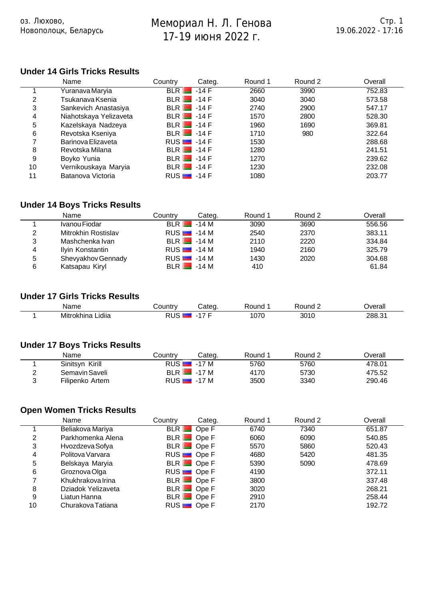17-19 2022

Мемориал Н. Л. Генова

## **Under 14 Girls Tricks Results**

оз. Люх $\mathcal{F}^{\mathcal{G}}$ 

Новополоцк, Беларусь

|    | Name                   | Country | Categ.       | Round 1 | Round 2 | Overall |
|----|------------------------|---------|--------------|---------|---------|---------|
|    | Yuranava Maryia        | BLR     | $-14$ F      | 2660    | 3990    | 752.83  |
| 2  | Tsukanava Ksenia       |         | $BLR$ $-14F$ | 3040    | 3040    | 573.58  |
| 3  | Sankevich Anastasiya   |         | $BLR$ $-14F$ | 2740    | 2900    | 547.17  |
| 4  | Niahotskaya Yelizaveta |         | $BLR$ $-14F$ | 1570    | 2800    | 528.30  |
| 5  | Kazelskaya Nadzeya     |         | $BLR$ $-14F$ | 1960    | 1690    | 369.81  |
| 6  | Revotska Kseniya       |         | $BLR$ $-14F$ | 1710    | 980     | 322.64  |
|    | Barinova Elizaveta     |         | $RUS$ $-14F$ | 1530    |         | 288.68  |
| 8  | Revotska Milana        |         | $BLR$ $-14F$ | 1280    |         | 241.51  |
| 9  | Boyko Yunia            |         | $BLR$ $-14F$ | 1270    |         | 239.62  |
| 10 | Vernikouskaya Maryia   |         | $BLR$ $-14F$ | 1230    |         | 232.08  |
| 11 | Batanova Victoria      |         | $RUS$ $-14F$ | 1080    |         | 203.77  |

#### **Under 14 Boys Tricks Results**

|   | Name                | Countrv    | Categ.        | Round 1 | Round 2 | Overall |
|---|---------------------|------------|---------------|---------|---------|---------|
|   | Ivanou Fiodar       | <b>BLR</b> | -14 M         | 3090    | 3690    | 556.56  |
| 2 | Mitrokhin Rostislav |            | $RUS$ $-14$ M | 2540    | 2370    | 383.11  |
| 3 | Mashchenka Ivan     |            | $BLR$ $-14M$  | 2110    | 2220    | 334.84  |
| 4 | Ilyin Konstantin    |            | $RUS$ $-14M$  | 1940    | 2160    | 325.79  |
| 5 | Shevyakhov Gennady  |            | $RUS$ $-14M$  | 1430    | 2020    | 304.68  |
| 6 | Katsapau Kiryl      |            | $BLR$ $-14M$  | 410     |         | 61.84   |

# **Under 17 Girls Tricks Results**

| Name                                    | ∶ountr∖     |          | `∩una ∶      | $^{\prime}$ $\sim$ 1100 $\cdot$ | NAP2<br>erall |
|-----------------------------------------|-------------|----------|--------------|---------------------------------|---------------|
| .<br>.<br>Mitrokhina<br>`.idiia<br>nına | <b>DIIQ</b> | -<br>- 1 | $  -$<br>070 | 3010                            | 288           |

## **Under 17 Boys Tricks Results**

|          | Name            | Countr∨∟                 | Categ. | Round 1 | Round 2 | ⊃verall |
|----------|-----------------|--------------------------|--------|---------|---------|---------|
|          | Sinitsvn Kirill | RUS $\blacksquare$ -17 M |        | 5760    | 5760    | 478.01  |
| <u>_</u> | Semavin Saveli  | $BLR$ $-17M$             |        | 4170    | 5730    | 475.52  |
| 2<br>J   | Filipenko Artem | $RUS$ $-17M$             |        | 3500    | 3340    | 290.46  |

#### **Open Women Tricks Results**

|    | Name               | Country | Categ.             | Round 1 | Round 2 | Overall |
|----|--------------------|---------|--------------------|---------|---------|---------|
|    | Beliakova Mariya   |         | BLR Ope F          | 6740    | 7340    | 651.87  |
| 2  | Parkhomenka Alena  |         | BLR Ope F          | 6060    | 6090    | 540.85  |
| 3  | Hvozdzeva Sofya    |         | BLR Ope F          | 5570    | 5860    | 520.43  |
| 4  | Politova Varvara   |         | RUS <b>Ope F</b>   | 4680    | 5420    | 481.35  |
| 5  | Belskaya Maryia    |         | BLR Ope F          | 5390    | 5090    | 478.69  |
| 6  | Groznova Olga      |         | RUS <b>D</b> Ope F | 4190    |         | 372.11  |
|    | Khukhrakova Irina  |         | BLR Ope F          | 3800    |         | 337.48  |
| 8  | Dziadok Yelizaveta |         | BLR Ope F          | 3020    |         | 268.21  |
| 9  | Liatun Hanna       |         | BLR Ope F          | 2910    |         | 258.44  |
| 10 | Churakova Tatiana  |         | RUS <b>D</b> Ope F | 2170    |         | 192.72  |